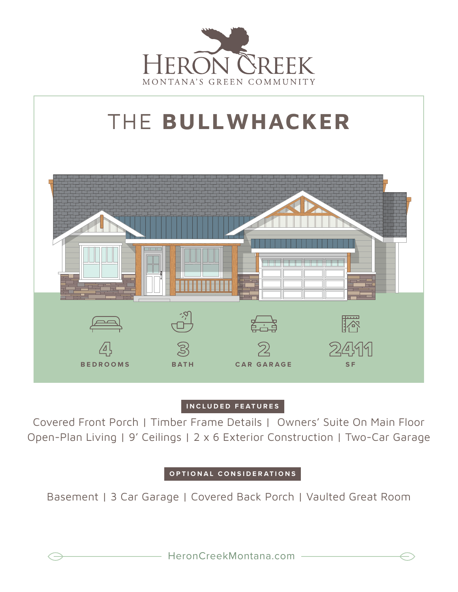



## **INCLUDED FEATURES**

Covered Front Porch | Timber Frame Details | Owners' Suite On Main Floor Open-Plan Living | 9' Ceilings | 2 x 6 Exterior Construction | Two-Car Garage

## **OPTIONAL CONSIDERATIONS**

Basement | 3 Car Garage | Covered Back Porch | Vaulted Great Room